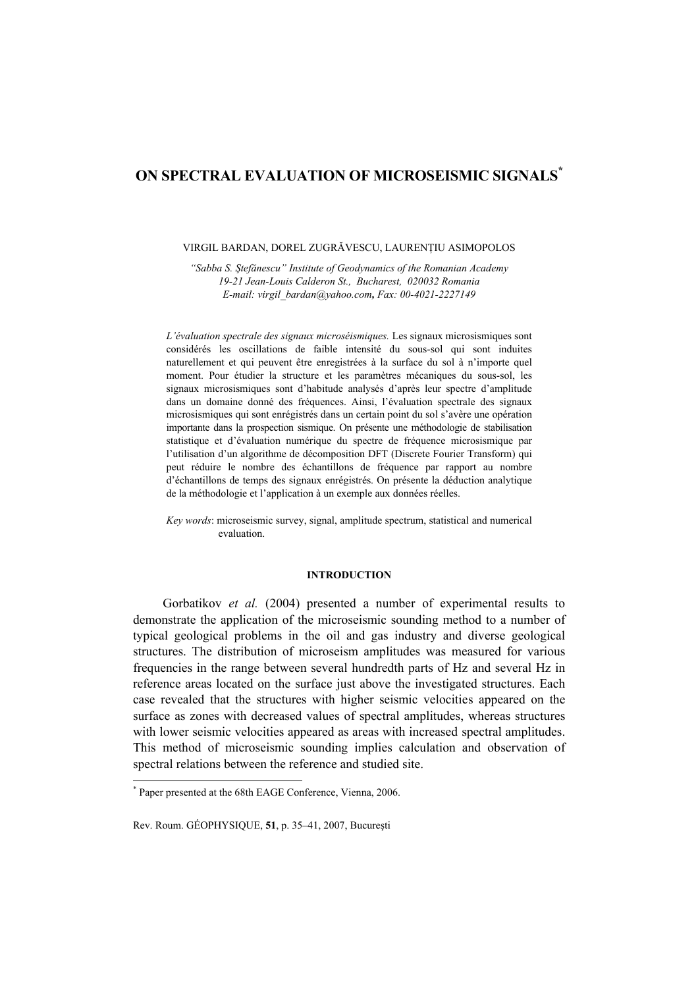# **ON SPECTRAL EVALUATION OF MICROSEISMIC SIGNALS\***

#### VIRGIL BARDAN, DOREL ZUGRĂVESCU, LAURENŢIU ASIMOPOLOS

*"Sabba S. Ştefănescu" Institute of Geodynamics of the Romanian Academy 19-21 Jean-Louis Calderon St., Bucharest, 020032 Romania E-mail: virgil\_bardan@yahoo.com, Fax: 00-4021-2227149*

*L'évaluation spectrale des signaux microséismiques.* Les signaux microsismiques sont considérés les oscillations de faible intensité du sous-sol qui sont induites naturellement et qui peuvent être enregistrées à la surface du sol à n'importe quel moment. Pour étudier la structure et les paramètres mécaniques du sous-sol, les signaux microsismiques sont d'habitude analysés d'après leur spectre d'amplitude dans un domaine donné des fréquences. Ainsi, l'évaluation spectrale des signaux microsismiques qui sont enrégistrés dans un certain point du sol s'avère une opération importante dans la prospection sismique. On présente une méthodologie de stabilisation statistique et d'évaluation numérique du spectre de fréquence microsismique par l'utilisation d'un algorithme de décomposition DFT (Discrete Fourier Transform) qui peut réduire le nombre des échantillons de fréquence par rapport au nombre d'échantillons de temps des signaux enrégistrés. On présente la déduction analytique de la méthodologie et l'application à un exemple aux données réelles.

*Key words*: microseismic survey, signal, amplitude spectrum, statistical and numerical evaluation.

# **INTRODUCTION**

Gorbatikov *et al.* (2004) presented a number of experimental results to demonstrate the application of the microseismic sounding method to a number of typical geological problems in the oil and gas industry and diverse geological structures. The distribution of microseism amplitudes was measured for various frequencies in the range between several hundredth parts of Hz and several Hz in reference areas located on the surface just above the investigated structures. Each case revealed that the structures with higher seismic velocities appeared on the surface as zones with decreased values of spectral amplitudes, whereas structures with lower seismic velocities appeared as areas with increased spectral amplitudes. This method of microseismic sounding implies calculation and observation of spectral relations between the reference and studied site.

l

<sup>\*</sup> Paper presented at the 68th EAGE Conference, Vienna, 2006.

Rev. Roum. GÉOPHYSIQUE, **51**, p. 35–41, 2007, Bucureşti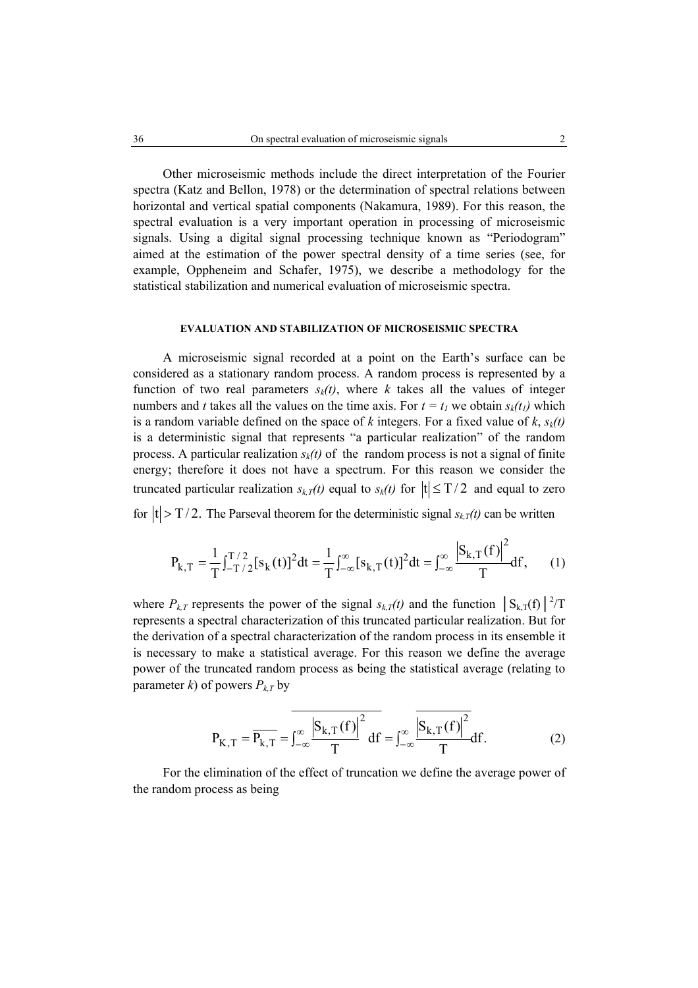Other microseismic methods include the direct interpretation of the Fourier spectra (Katz and Bellon, 1978) or the determination of spectral relations between horizontal and vertical spatial components (Nakamura, 1989). For this reason, the spectral evaluation is a very important operation in processing of microseismic signals. Using a digital signal processing technique known as "Periodogram" aimed at the estimation of the power spectral density of a time series (see, for example, Oppheneim and Schafer, 1975), we describe a methodology for the statistical stabilization and numerical evaluation of microseismic spectra.

#### **EVALUATION AND STABILIZATION OF MICROSEISMIC SPECTRA**

A microseismic signal recorded at a point on the Earth's surface can be considered as a stationary random process. A random process is represented by a function of two real parameters  $s_k(t)$ , where *k* takes all the values of integer numbers and *t* takes all the values on the time axis. For  $t = t_1$  we obtain  $s_k(t_1)$  which is a random variable defined on the space of  $k$  integers. For a fixed value of  $k$ ,  $s_k(t)$ is a deterministic signal that represents "a particular realization" of the random process. A particular realization  $s_k(t)$  of the random process is not a signal of finite energy; therefore it does not have a spectrum. For this reason we consider the truncated particular realization  $s_{kT}(t)$  equal to  $s_k(t)$  for  $|t| \leq T/2$  and equal to zero

for  $|t| > T/2$ . The Parseval theorem for the deterministic signal  $s_{k,T}(t)$  can be written

$$
P_{k,T} = \frac{1}{T} \int_{-T/2}^{T/2} [s_k(t)]^2 dt = \frac{1}{T} \int_{-\infty}^{\infty} [s_{k,T}(t)]^2 dt = \int_{-\infty}^{\infty} \frac{|S_{k,T}(f)|^2}{T} df, \qquad (1)
$$

where  $P_{k,T}$  represents the power of the signal  $s_{k,T}(t)$  and the function  $\left| S_{k,T}(f) \right|^{2}/T$ represents a spectral characterization of this truncated particular realization. But for the derivation of a spectral characterization of the random process in its ensemble it is necessary to make a statistical average. For this reason we define the average power of the truncated random process as being the statistical average (relating to parameter *k*) of powers  $P_{k,T}$  by

$$
P_{K,T} = \overline{P_{k,T}} = \overline{\int_{-\infty}^{\infty} \frac{|S_{k,T}(f)|^2}{T} df} = \int_{-\infty}^{\infty} \frac{|S_{k,T}(f)|^2}{T} df.
$$
 (2)

For the elimination of the effect of truncation we define the average power of the random process as being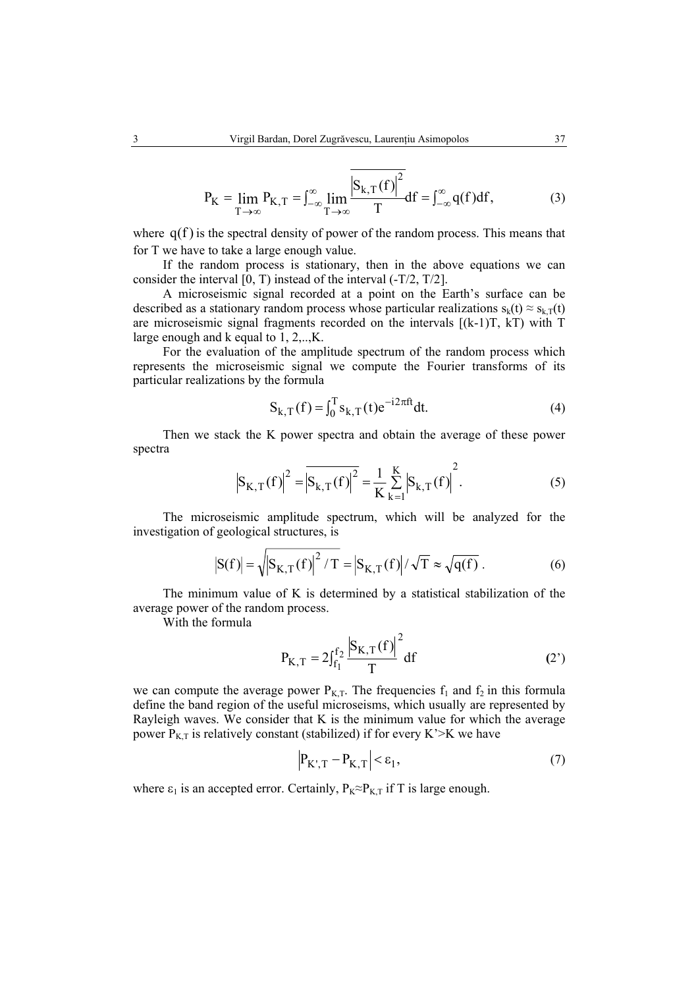$$
P_{K} = \lim_{T \to \infty} P_{K,T} = \int_{-\infty}^{\infty} \lim_{T \to \infty} \frac{|S_{k,T}(f)|^{2}}{T} df = \int_{-\infty}^{\infty} q(f) df,
$$
 (3)

where  $q(f)$  is the spectral density of power of the random process. This means that for T we have to take a large enough value.

If the random process is stationary, then in the above equations we can consider the interval [0, T) instead of the interval (-T/2, T/2].

A microseismic signal recorded at a point on the Earth's surface can be described as a stationary random process whose particular realizations  $s_k(t) \approx s_{kT}(t)$ are microseismic signal fragments recorded on the intervals [(k-1)T, kT) with T large enough and k equal to 1, 2,..,K.

For the evaluation of the amplitude spectrum of the random process which represents the microseismic signal we compute the Fourier transforms of its particular realizations by the formula

$$
S_{k,T}(f) = \int_0^T s_{k,T}(t)e^{-i2\pi ft}dt.
$$
 (4)

Then we stack the K power spectra and obtain the average of these power spectra

$$
\left| S_{K,T}(f) \right|^2 = \overline{\left| S_{k,T}(f) \right|^2} = \frac{1}{K} \sum_{k=1}^{K} \left| S_{k,T}(f) \right|^2.
$$
 (5)

The microseismic amplitude spectrum, which will be analyzed for the investigation of geological structures, is

$$
|\mathbf{S}(\mathbf{f})| = \sqrt{|\mathbf{S}_{\mathbf{K},\mathbf{T}}(\mathbf{f})|^2 / \mathbf{T}} = |\mathbf{S}_{\mathbf{K},\mathbf{T}}(\mathbf{f})| / \sqrt{\mathbf{T}} \approx \sqrt{\mathbf{q}(\mathbf{f})}.
$$
 (6)

The minimum value of K is determined by a statistical stabilization of the average power of the random process.

With the formula

$$
P_{K,T} = 2\int_{f_1}^{f_2} \frac{|S_{K,T}(f)|^2}{T} df
$$
 (2')

we can compute the average power  $P_{K,T}$ . The frequencies  $f_1$  and  $f_2$  in this formula define the band region of the useful microseisms, which usually are represented by Rayleigh waves. We consider that K is the minimum value for which the average power  $P_{K,T}$  is relatively constant (stabilized) if for every K'>K we have

$$
\left| P_{K',T} - P_{K,T} \right| < \varepsilon_1,\tag{7}
$$

where  $\varepsilon_1$  is an accepted error. Certainly,  $P_K \approx P_{K,T}$  if T is large enough.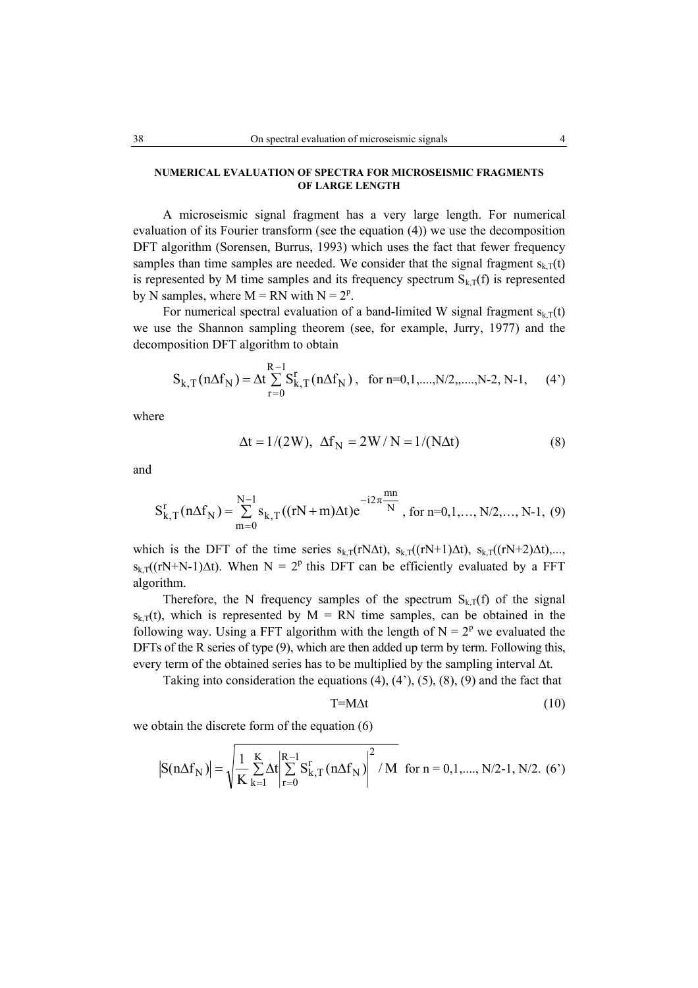# **NUMERICAL EVALUATION OF SPECTRA FOR MICROSEISMIC FRAGMENTS OF LARGE LENGTH**

A microseismic signal fragment has a very large length. For numerical evaluation of its Fourier transform (see the equation (4)) we use the decomposition DFT algorithm (Sorensen, Burrus, 1993) which uses the fact that fewer frequency samples than time samples are needed. We consider that the signal fragment  $s_{kT}(t)$ is represented by M time samples and its frequency spectrum  $S_{k,T}(f)$  is represented by N samples, where  $M = RN$  with  $N = 2<sup>p</sup>$ .

For numerical spectral evaluation of a band-limited W signal fragment  $s_{k,T}(t)$ we use the Shannon sampling theorem (see, for example, Jurry, 1977) and the decomposition DFT algorithm to obtain

$$
S_{k,T}(n\Delta f_N) = \Delta t \sum_{r=0}^{R-1} S_{k,T}^r(n\Delta f_N), \text{ for } n=0,1,\dots,N/2,\dots,N-2, N-1, (4')
$$

where

$$
\Delta t = 1/(2W), \ \Delta f_N = 2W/N = 1/(N\Delta t)
$$
 (8)

and

$$
S_{k,T}^r(n\Delta f_N) = \sum_{m=0}^{N-1} s_{k,T}((rN+m)\Delta t)e^{-i2\pi\frac{mn}{N}}, \text{ for } n=0,1,\ldots,N/2,\ldots,N-1, (9)
$$

which is the DFT of the time series  $s_{k,T}(rN\Delta t)$ ,  $s_{k,T}((rN+1)\Delta t)$ ,  $s_{k,T}((rN+2)\Delta t)$ ,...,  $s_{k,T}((rN+N-1)\Delta t)$ . When  $N = 2^p$  this DFT can be efficiently evaluated by a FFT algorithm.

Therefore, the N frequency samples of the spectrum  $S_{k,T}(f)$  of the signal  $s_{k,T}(t)$ , which is represented by  $M = RN$  time samples, can be obtained in the following way. Using a FFT algorithm with the length of  $N = 2^p$  we evaluated the DFTs of the R series of type (9), which are then added up term by term. Following this, every term of the obtained series has to be multiplied by the sampling interval ∆t.

Taking into consideration the equations  $(4)$ ,  $(4')$ ,  $(5)$ ,  $(8)$ ,  $(9)$  and the fact that

$$
T = M \Delta t \tag{10}
$$

we obtain the discrete form of the equation (6)

$$
\left| S(n\Delta f_N) \right| = \sqrt{\frac{1}{K} \sum_{k=1}^{K} \Delta t} \left| \sum_{r=0}^{R-1} S_{k,T}^r (n\Delta f_N) \right|^2 / M \text{ for } n = 0, 1, \dots, N/2-1, N/2. (6')
$$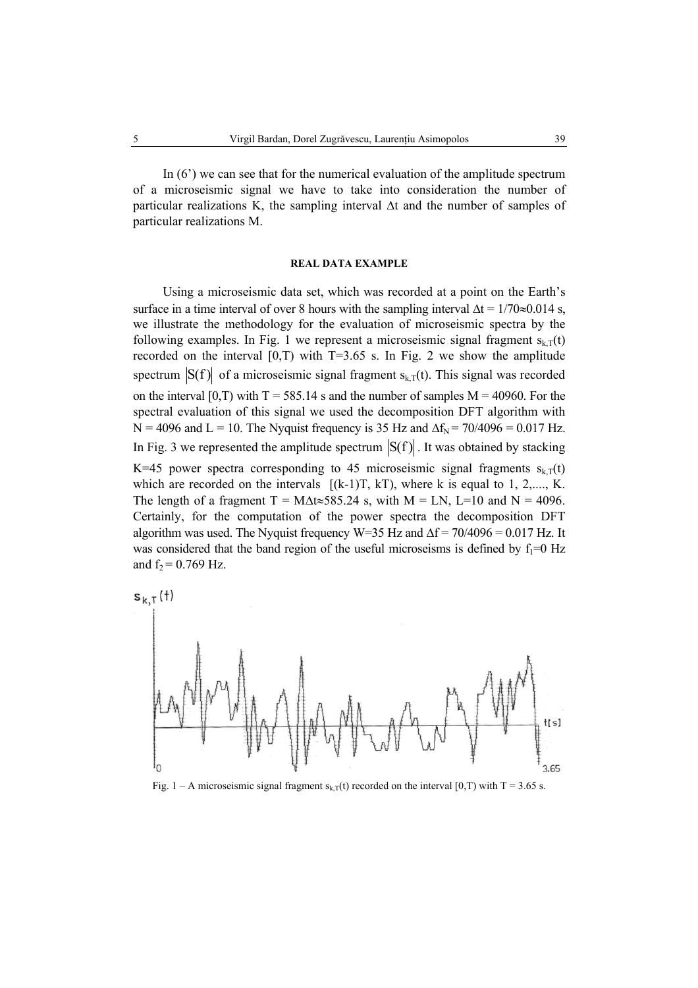In (6') we can see that for the numerical evaluation of the amplitude spectrum of a microseismic signal we have to take into consideration the number of particular realizations K, the sampling interval ∆t and the number of samples of particular realizations M.

# **REAL DATA EXAMPLE**

Using a microseismic data set, which was recorded at a point on the Earth's surface in a time interval of over 8 hours with the sampling interval  $\Delta t = 1/70 \approx 0.014$  s, we illustrate the methodology for the evaluation of microseismic spectra by the following examples. In Fig. 1 we represent a microseismic signal fragment  $s_{kT}(t)$ recorded on the interval  $[0,T)$  with T=3.65 s. In Fig. 2 we show the amplitude spectrum  $|S(f)|$  of a microseismic signal fragment  $s_{k,T}(t)$ . This signal was recorded on the interval  $[0, T)$  with T = 585.14 s and the number of samples M = 40960. For the spectral evaluation of this signal we used the decomposition DFT algorithm with N = 4096 and L = 10. The Nyquist frequency is 35 Hz and  $\Delta f_N$  = 70/4096 = 0.017 Hz. In Fig. 3 we represented the amplitude spectrum  $|S(f)|$ . It was obtained by stacking K=45 power spectra corresponding to 45 microseismic signal fragments  $s_{k,T}(t)$ which are recorded on the intervals  $[(k-1)T, kT)$ , where k is equal to 1, 2,...., K. The length of a fragment T = M $\Delta t \approx 585.24$  s, with M = LN, L=10 and N = 4096. Certainly, for the computation of the power spectra the decomposition DFT algorithm was used. The Nyquist frequency W=35 Hz and  $\Delta f = 70/4096 = 0.017$  Hz. It was considered that the band region of the useful microseisms is defined by  $f_1=0$  Hz and  $f_2 = 0.769$  Hz.



Fig. 1 – A microseismic signal fragment  $s_{k,T}(t)$  recorded on the interval [0,T) with T = 3.65 s.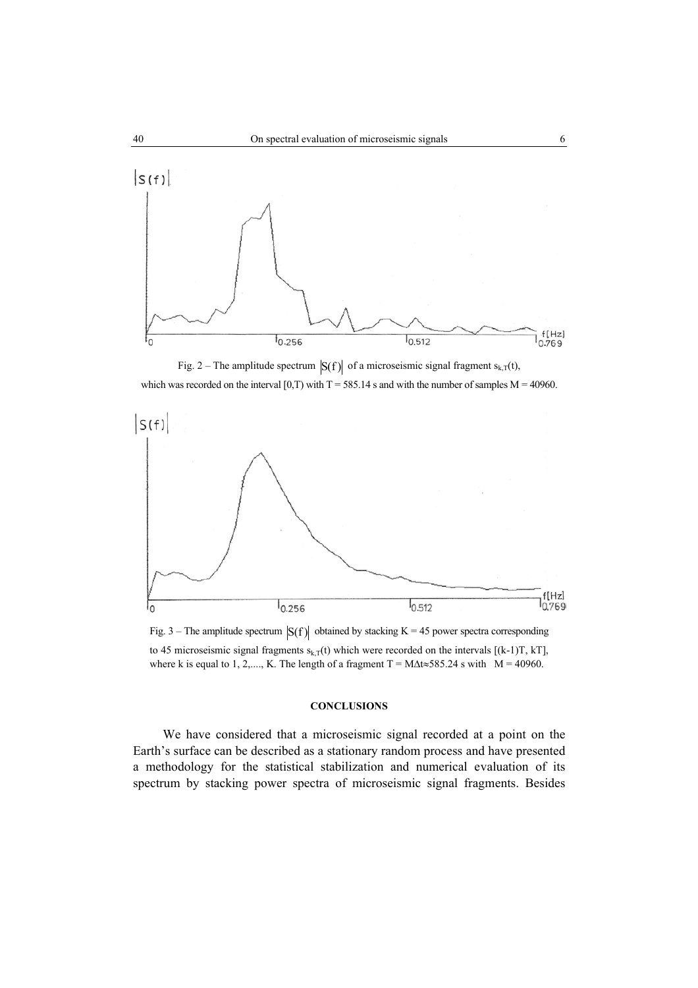

Fig. 2 – The amplitude spectrum  $|S(f)|$  of a microseismic signal fragment s<sub>k,T</sub>(t), which was recorded on the interval  $[0, T)$  with T = 585.14 s and with the number of samples M = 40960.



Fig. 3 – The amplitude spectrum  $|S(f)|$  obtained by stacking K = 45 power spectra corresponding to 45 microseismic signal fragments  $s_{k,T}(t)$  which were recorded on the intervals  $[(k-1)T, kT]$ , where k is equal to 1, 2,...., K. The length of a fragment T = M $\Delta t \approx 585.24$  s with M = 40960.

### **CONCLUSIONS**

We have considered that a microseismic signal recorded at a point on the Earth's surface can be described as a stationary random process and have presented a methodology for the statistical stabilization and numerical evaluation of its spectrum by stacking power spectra of microseismic signal fragments. Besides